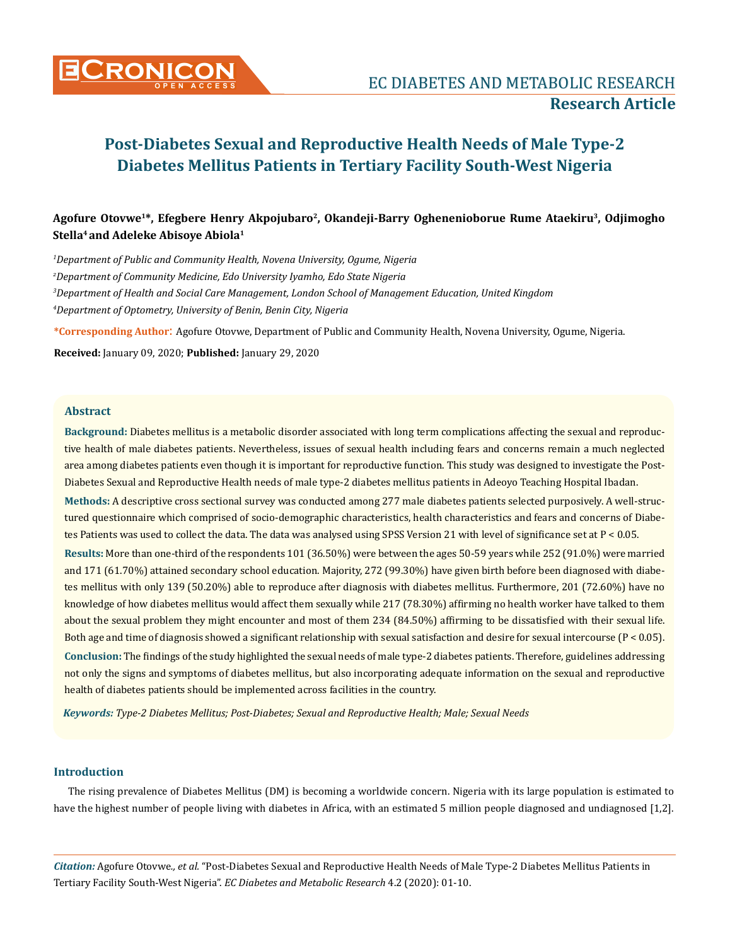

# Agofure Otovwe<sup>1\*</sup>, Efegbere Henry Akpojubaro<sup>2</sup>, Okandeji-Barry Oghenenioborue Rume Ataekiru<sup>3</sup>, Odjimogho **Stella4 and Adeleke Abisoye Abiola1**

 *Department of Public and Community Health, Novena University, Ogume, Nigeria Department of Community Medicine, Edo University Iyamho, Edo State Nigeria Department of Health and Social Care Management, London School of Management Education, United Kingdom Department of Optometry, University of Benin, Benin City, Nigeria*

**\*Corresponding Author**: Agofure Otovwe, Department of Public and Community Health, Novena University, Ogume, Nigeria.

**Received:** January 09, 2020; **Published:** January 29, 2020

## **Abstract**

**Background:** Diabetes mellitus is a metabolic disorder associated with long term complications affecting the sexual and reproductive health of male diabetes patients. Nevertheless, issues of sexual health including fears and concerns remain a much neglected area among diabetes patients even though it is important for reproductive function. This study was designed to investigate the Post-Diabetes Sexual and Reproductive Health needs of male type-2 diabetes mellitus patients in Adeoyo Teaching Hospital Ibadan.

**Methods:** A descriptive cross sectional survey was conducted among 277 male diabetes patients selected purposively. A well-structured questionnaire which comprised of socio-demographic characteristics, health characteristics and fears and concerns of Diabetes Patients was used to collect the data. The data was analysed using SPSS Version 21 with level of significance set at P < 0.05.

**Results:** More than one-third of the respondents 101 (36.50%) were between the ages 50-59 years while 252 (91.0%) were married and 171 (61.70%) attained secondary school education. Majority, 272 (99.30%) have given birth before been diagnosed with diabetes mellitus with only 139 (50.20%) able to reproduce after diagnosis with diabetes mellitus. Furthermore, 201 (72.60%) have no knowledge of how diabetes mellitus would affect them sexually while 217 (78.30%) affirming no health worker have talked to them about the sexual problem they might encounter and most of them 234 (84.50%) affirming to be dissatisfied with their sexual life. Both age and time of diagnosis showed a significant relationship with sexual satisfaction and desire for sexual intercourse (P < 0.05). **Conclusion:** The findings of the study highlighted the sexual needs of male type-2 diabetes patients. Therefore, guidelines addressing not only the signs and symptoms of diabetes mellitus, but also incorporating adequate information on the sexual and reproductive health of diabetes patients should be implemented across facilities in the country.

*Keywords: Type-2 Diabetes Mellitus; Post-Diabetes; Sexual and Reproductive Health; Male; Sexual Needs*

## **Introduction**

The rising prevalence of Diabetes Mellitus (DM) is becoming a worldwide concern. Nigeria with its large population is estimated to have the highest number of people living with diabetes in Africa, with an estimated 5 million people diagnosed and undiagnosed [1,2].

*Citation:* Agofure Otovwe*., et al.* "Post-Diabetes Sexual and Reproductive Health Needs of Male Type-2 Diabetes Mellitus Patients in Tertiary Facility South-West Nigeria". *EC Diabetes and Metabolic Research* 4.2 (2020): 01-10.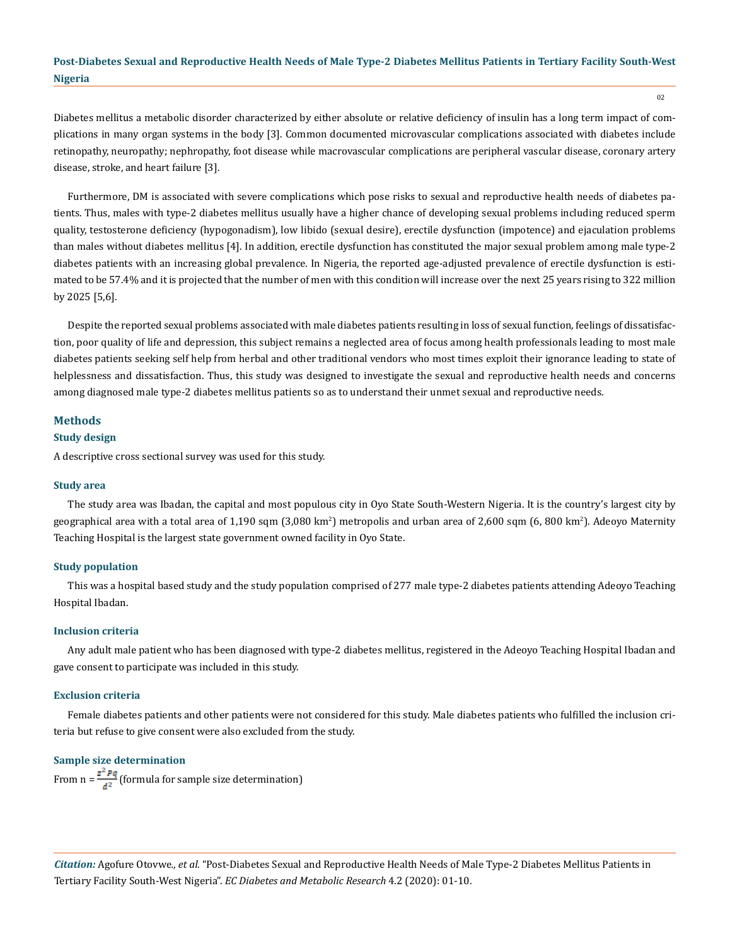Diabetes mellitus a metabolic disorder characterized by either absolute or relative deficiency of insulin has a long term impact of complications in many organ systems in the body [3]. Common documented microvascular complications associated with diabetes include retinopathy, neuropathy; nephropathy, foot disease while macrovascular complications are peripheral vascular disease, coronary artery disease, stroke, and heart failure [3].

Furthermore, DM is associated with severe complications which pose risks to sexual and reproductive health needs of diabetes patients. Thus, males with type-2 diabetes mellitus usually have a higher chance of developing sexual problems including reduced sperm quality, testosterone deficiency (hypogonadism), low libido (sexual desire), erectile dysfunction (impotence) and ejaculation problems than males without diabetes mellitus [4]. In addition, erectile dysfunction has constituted the major sexual problem among male type-2 diabetes patients with an increasing global prevalence. In Nigeria, the reported age-adjusted prevalence of erectile dysfunction is estimated to be 57.4% and it is projected that the number of men with this condition will increase over the next 25 years rising to 322 million by 2025 [5,6].

Despite the reported sexual problems associated with male diabetes patients resulting in loss of sexual function, feelings of dissatisfaction, poor quality of life and depression, this subject remains a neglected area of focus among health professionals leading to most male diabetes patients seeking self help from herbal and other traditional vendors who most times exploit their ignorance leading to state of helplessness and dissatisfaction. Thus, this study was designed to investigate the sexual and reproductive health needs and concerns among diagnosed male type-2 diabetes mellitus patients so as to understand their unmet sexual and reproductive needs.

## **Methods**

## **Study design**

A descriptive cross sectional survey was used for this study.

#### **Study area**

The study area was Ibadan, the capital and most populous city in Oyo State South-Western Nigeria. It is the country's largest city by geographical area with a total area of 1,190 sqm (3,080 km²) metropolis and urban area of 2,600 sqm (6, 800 km²). Adeoyo Maternity Teaching Hospital is the largest state government owned facility in Oyo State.

#### **Study population**

This was a hospital based study and the study population comprised of 277 male type-2 diabetes patients attending Adeoyo Teaching Hospital Ibadan.

## **Inclusion criteria**

Any adult male patient who has been diagnosed with type-2 diabetes mellitus, registered in the Adeoyo Teaching Hospital Ibadan and gave consent to participate was included in this study.

## **Exclusion criteria**

Female diabetes patients and other patients were not considered for this study. Male diabetes patients who fulfilled the inclusion criteria but refuse to give consent were also excluded from the study.

## **Sample size determination**

From  $n = \frac{z^2 P q}{d^2}$  (formula for sample size determination)

*Citation:* Agofure Otovwe*., et al.* "Post-Diabetes Sexual and Reproductive Health Needs of Male Type-2 Diabetes Mellitus Patients in Tertiary Facility South-West Nigeria". *EC Diabetes and Metabolic Research* 4.2 (2020): 01-10.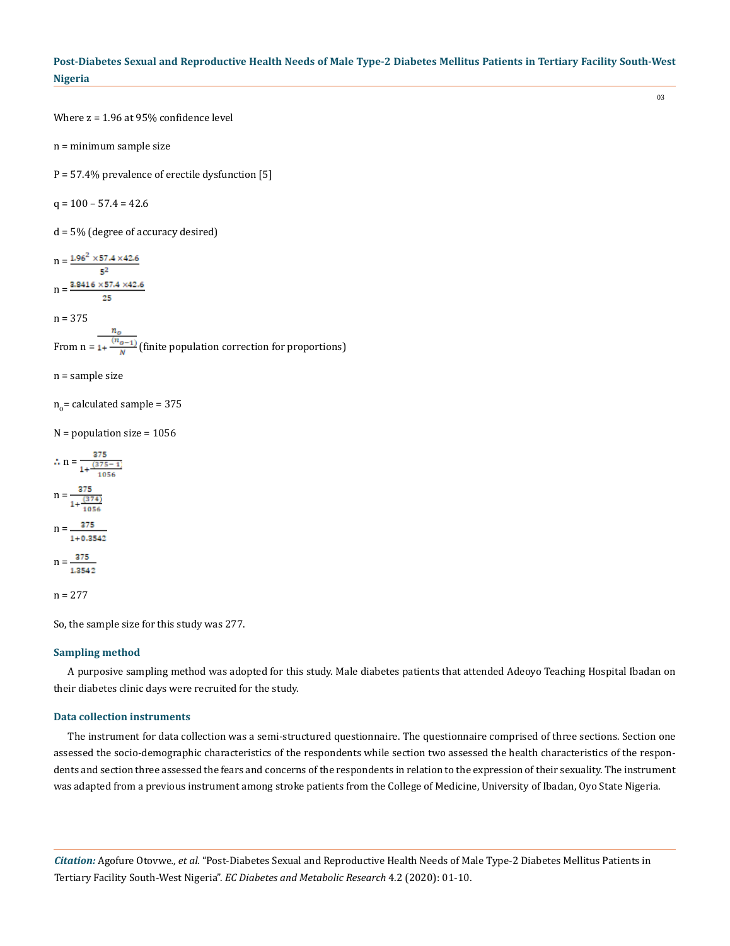Where z = 1.96 at 95% confidence level

n = minimum sample size

P = 57.4% prevalence of erectile dysfunction [5]

 $q = 100 - 57.4 = 42.6$ 

d = 5% (degree of accuracy desired)

 $n = \frac{1.96^2 \times 57.4 \times 42.6}{5^2}$  $n = \frac{3.9416 \times 57.4 \times 42.6}{25}$  $n = 375$ From  $n = \frac{n_o}{1 + \frac{(n_o - 1)}{N}}$  (finite population correction for proportions)

n = sample size

 $n_0$ = calculated sample = 375

 $N =$  population size = 1056

$$
\therefore n = \frac{375}{1 + \frac{(375 - 1)}{1056}}
$$

$$
n = \frac{375}{1 + \frac{(374)}{1056}}
$$

$$
n = \frac{375}{1 + 0.3542}
$$

$$
n = \frac{375}{1.3542}
$$

$$
n = 277
$$

So, the sample size for this study was 277.

#### **Sampling method**

A purposive sampling method was adopted for this study. Male diabetes patients that attended Adeoyo Teaching Hospital Ibadan on their diabetes clinic days were recruited for the study.

## **Data collection instruments**

The instrument for data collection was a semi-structured questionnaire. The questionnaire comprised of three sections. Section one assessed the socio-demographic characteristics of the respondents while section two assessed the health characteristics of the respondents and section three assessed the fears and concerns of the respondents in relation to the expression of their sexuality. The instrument was adapted from a previous instrument among stroke patients from the College of Medicine, University of Ibadan, Oyo State Nigeria.

*Citation:* Agofure Otovwe*., et al.* "Post-Diabetes Sexual and Reproductive Health Needs of Male Type-2 Diabetes Mellitus Patients in Tertiary Facility South-West Nigeria". *EC Diabetes and Metabolic Research* 4.2 (2020): 01-10.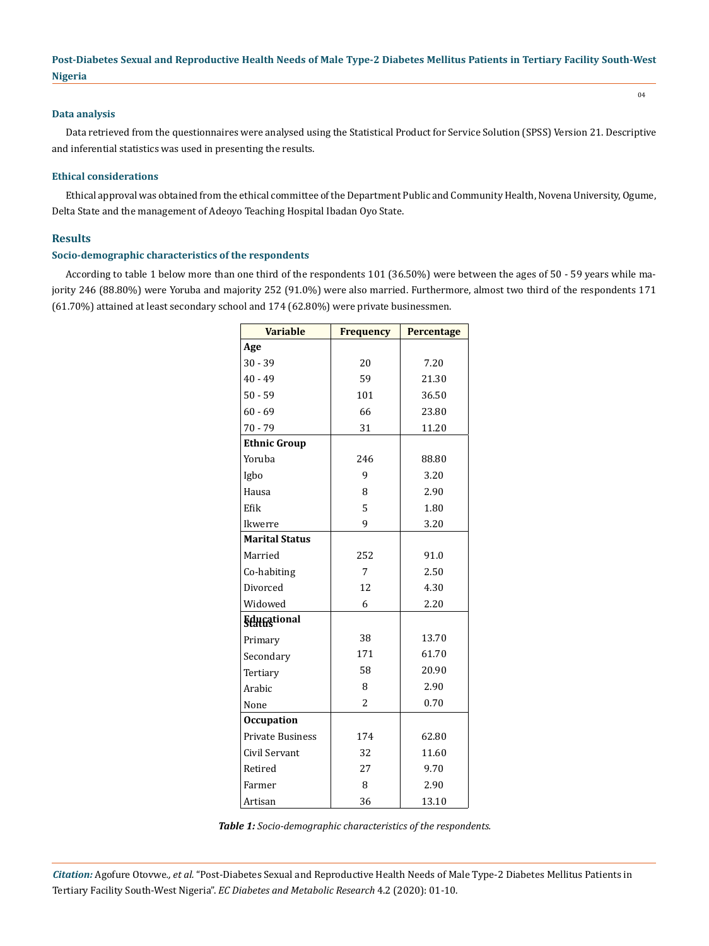## **Data analysis**

Data retrieved from the questionnaires were analysed using the Statistical Product for Service Solution (SPSS) Version 21. Descriptive and inferential statistics was used in presenting the results.

#### **Ethical considerations**

Ethical approval was obtained from the ethical committee of the Department Public and Community Health, Novena University, Ogume, Delta State and the management of Adeoyo Teaching Hospital Ibadan Oyo State.

## **Results**

## **Socio-demographic characteristics of the respondents**

According to table 1 below more than one third of the respondents 101 (36.50%) were between the ages of 50 - 59 years while majority 246 (88.80%) were Yoruba and majority 252 (91.0%) were also married. Furthermore, almost two third of the respondents 171 (61.70%) attained at least secondary school and 174 (62.80%) were private businessmen.

| <b>Variable</b>         | <b>Frequency</b> | Percentage |  |
|-------------------------|------------------|------------|--|
| Age                     |                  |            |  |
| $30 - 39$               | 20               | 7.20       |  |
| $40 - 49$               | 59               | 21.30      |  |
| $50 - 59$               | 101              | 36.50      |  |
| $60 - 69$               | 66               | 23.80      |  |
| $70 - 79$               | 31               | 11.20      |  |
| <b>Ethnic Group</b>     |                  |            |  |
| Yoruba                  | 246              | 88.80      |  |
| Igbo                    | 9                | 3.20       |  |
| Hausa                   | 8                | 2.90       |  |
| Efik                    | 5                | 1.80       |  |
| Ikwerre                 | 9                | 3.20       |  |
| <b>Marital Status</b>   |                  |            |  |
| Married                 | 252              | 91.0       |  |
| Co-habiting             | 7                | 2.50       |  |
| Divorced                | 12               | 4.30       |  |
| Widowed                 | 6                | 2.20       |  |
| <b>Educational</b>      |                  |            |  |
| Primary                 | 38               | 13.70      |  |
| Secondary               | 171              | 61.70      |  |
| Tertiary                | 58               | 20.90      |  |
| Arabic                  | 8                | 2.90       |  |
| None                    | $\overline{c}$   | 0.70       |  |
| <b>Occupation</b>       |                  |            |  |
| <b>Private Business</b> | 174              | 62.80      |  |
| Civil Servant           | 32               | 11.60      |  |
| Retired                 | 27               | 9.70       |  |
| Farmer                  | 8                | 2.90       |  |
| Artisan                 | 36               | 13.10      |  |

*Table 1: Socio-demographic characteristics of the respondents.*

*Citation:* Agofure Otovwe*., et al.* "Post-Diabetes Sexual and Reproductive Health Needs of Male Type-2 Diabetes Mellitus Patients in Tertiary Facility South-West Nigeria". *EC Diabetes and Metabolic Research* 4.2 (2020): 01-10.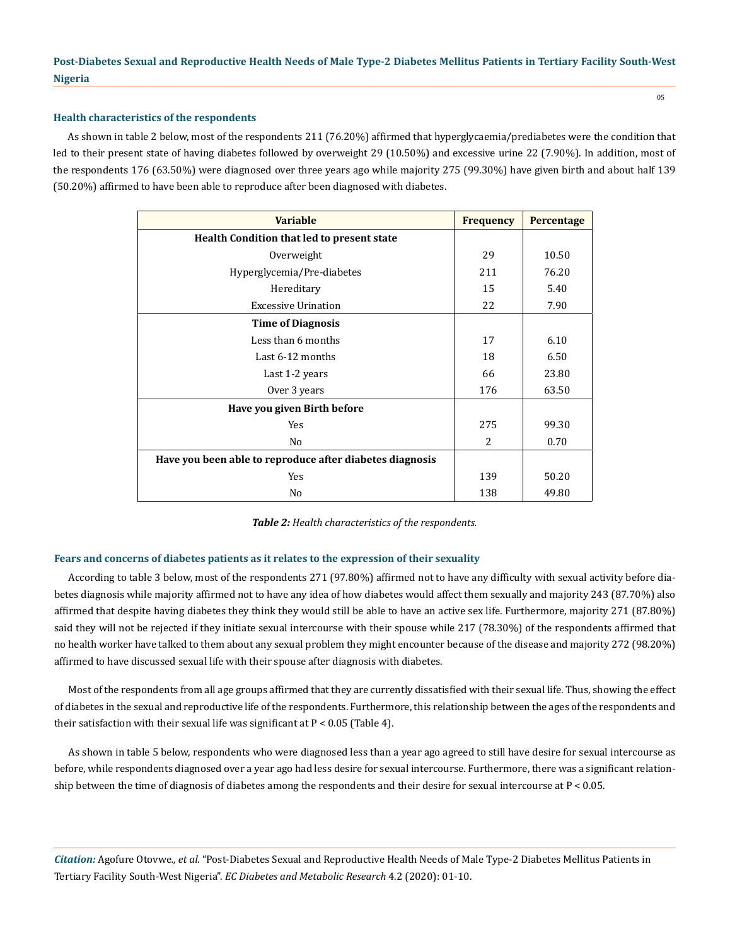## **Health characteristics of the respondents**

As shown in table 2 below, most of the respondents 211 (76.20%) affirmed that hyperglycaemia/prediabetes were the condition that led to their present state of having diabetes followed by overweight 29 (10.50%) and excessive urine 22 (7.90%). In addition, most of the respondents 176 (63.50%) were diagnosed over three years ago while majority 275 (99.30%) have given birth and about half 139 (50.20%) affirmed to have been able to reproduce after been diagnosed with diabetes.

| <b>Variable</b>                                          | <b>Frequency</b> | Percentage |  |
|----------------------------------------------------------|------------------|------------|--|
| Health Condition that led to present state               |                  |            |  |
| Overweight                                               | 29               | 10.50      |  |
| Hyperglycemia/Pre-diabetes                               | 211              | 76.20      |  |
| Hereditary                                               | 15               | 5.40       |  |
| <b>Excessive Urination</b>                               | 22               | 7.90       |  |
| <b>Time of Diagnosis</b>                                 |                  |            |  |
| Less than 6 months                                       | 17               | 6.10       |  |
| Last 6-12 months                                         | 18               | 6.50       |  |
| Last 1-2 years                                           | 66               | 23.80      |  |
| Over 3 years                                             | 176              | 63.50      |  |
| Have you given Birth before                              |                  |            |  |
| Yes                                                      | 275              | 99.30      |  |
| N <sub>0</sub>                                           | $\overline{2}$   | 0.70       |  |
| Have you been able to reproduce after diabetes diagnosis |                  |            |  |
| Yes                                                      | 139              | 50.20      |  |
| N <sub>0</sub>                                           | 138              | 49.80      |  |

*Table 2: Health characteristics of the respondents.*

## **Fears and concerns of diabetes patients as it relates to the expression of their sexuality**

According to table 3 below, most of the respondents 271 (97.80%) affirmed not to have any difficulty with sexual activity before diabetes diagnosis while majority affirmed not to have any idea of how diabetes would affect them sexually and majority 243 (87.70%) also affirmed that despite having diabetes they think they would still be able to have an active sex life. Furthermore, majority 271 (87.80%) said they will not be rejected if they initiate sexual intercourse with their spouse while 217 (78.30%) of the respondents affirmed that no health worker have talked to them about any sexual problem they might encounter because of the disease and majority 272 (98.20%) affirmed to have discussed sexual life with their spouse after diagnosis with diabetes.

Most of the respondents from all age groups affirmed that they are currently dissatisfied with their sexual life. Thus, showing the effect of diabetes in the sexual and reproductive life of the respondents. Furthermore, this relationship between the ages of the respondents and their satisfaction with their sexual life was significant at  $P < 0.05$  (Table 4).

As shown in table 5 below, respondents who were diagnosed less than a year ago agreed to still have desire for sexual intercourse as before, while respondents diagnosed over a year ago had less desire for sexual intercourse. Furthermore, there was a significant relationship between the time of diagnosis of diabetes among the respondents and their desire for sexual intercourse at  $P < 0.05$ .

*Citation:* Agofure Otovwe*., et al.* "Post-Diabetes Sexual and Reproductive Health Needs of Male Type-2 Diabetes Mellitus Patients in Tertiary Facility South-West Nigeria". *EC Diabetes and Metabolic Research* 4.2 (2020): 01-10.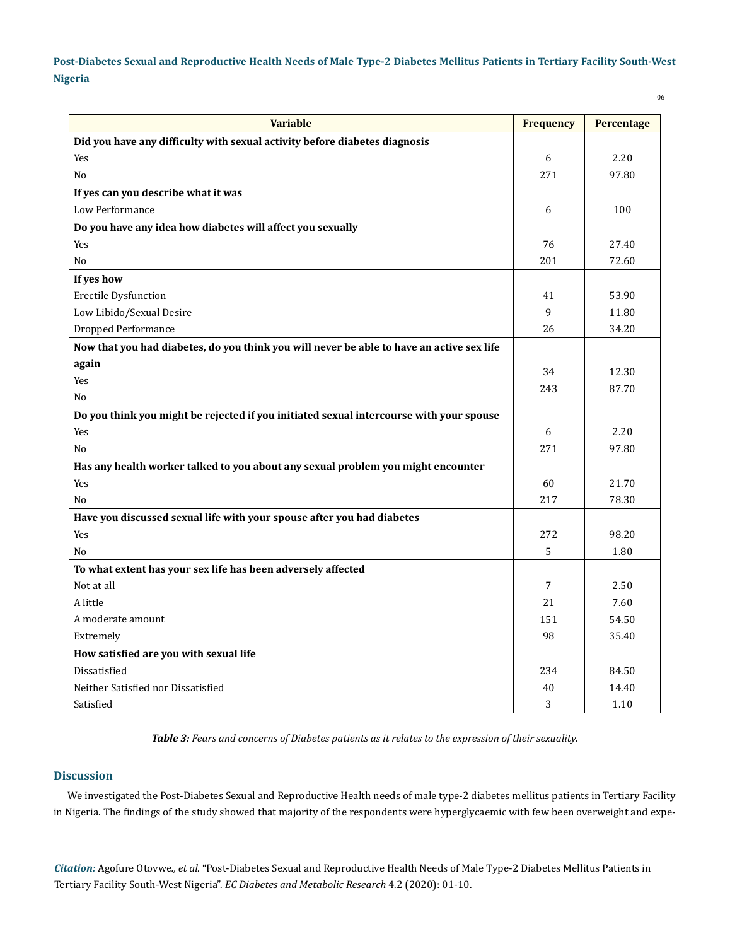06

| <b>Variable</b>                                                                           | <b>Frequency</b> | Percentage |
|-------------------------------------------------------------------------------------------|------------------|------------|
| Did you have any difficulty with sexual activity before diabetes diagnosis                |                  |            |
| Yes                                                                                       | 6                | 2.20       |
| N <sub>0</sub>                                                                            | 271              | 97.80      |
| If yes can you describe what it was                                                       |                  |            |
| Low Performance                                                                           | 6                | 100        |
| Do you have any idea how diabetes will affect you sexually                                |                  |            |
| Yes                                                                                       | 76               | 27.40      |
| No                                                                                        | 201              | 72.60      |
| If yes how                                                                                |                  |            |
| <b>Erectile Dysfunction</b>                                                               | 41               | 53.90      |
| Low Libido/Sexual Desire                                                                  | 9                | 11.80      |
| Dropped Performance                                                                       | 26               | 34.20      |
| Now that you had diabetes, do you think you will never be able to have an active sex life |                  |            |
| again                                                                                     |                  |            |
| Yes                                                                                       | 34               | 12.30      |
| N <sub>o</sub>                                                                            | 243              | 87.70      |
| Do you think you might be rejected if you initiated sexual intercourse with your spouse   |                  |            |
| Yes                                                                                       | 6                | 2.20       |
| N <sub>o</sub>                                                                            | 271              | 97.80      |
| Has any health worker talked to you about any sexual problem you might encounter          |                  |            |
| Yes                                                                                       | 60               | 21.70      |
| N <sub>o</sub>                                                                            | 217              | 78.30      |
| Have you discussed sexual life with your spouse after you had diabetes                    |                  |            |
| Yes                                                                                       | 272              | 98.20      |
| No                                                                                        | 5                | 1.80       |
| To what extent has your sex life has been adversely affected                              |                  |            |
| Not at all                                                                                | 7                | 2.50       |
| A little                                                                                  | 21               | 7.60       |
| A moderate amount                                                                         | 151              | 54.50      |
| Extremely                                                                                 | 98               | 35.40      |
| How satisfied are you with sexual life                                                    |                  |            |
| Dissatisfied                                                                              | 234              | 84.50      |
| Neither Satisfied nor Dissatisfied                                                        | 40               | 14.40      |
| Satisfied                                                                                 | 3                | 1.10       |

*Table 3: Fears and concerns of Diabetes patients as it relates to the expression of their sexuality.*

## **Discussion**

We investigated the Post-Diabetes Sexual and Reproductive Health needs of male type-2 diabetes mellitus patients in Tertiary Facility in Nigeria. The findings of the study showed that majority of the respondents were hyperglycaemic with few been overweight and expe-

*Citation:* Agofure Otovwe*., et al.* "Post-Diabetes Sexual and Reproductive Health Needs of Male Type-2 Diabetes Mellitus Patients in Tertiary Facility South-West Nigeria". *EC Diabetes and Metabolic Research* 4.2 (2020): 01-10.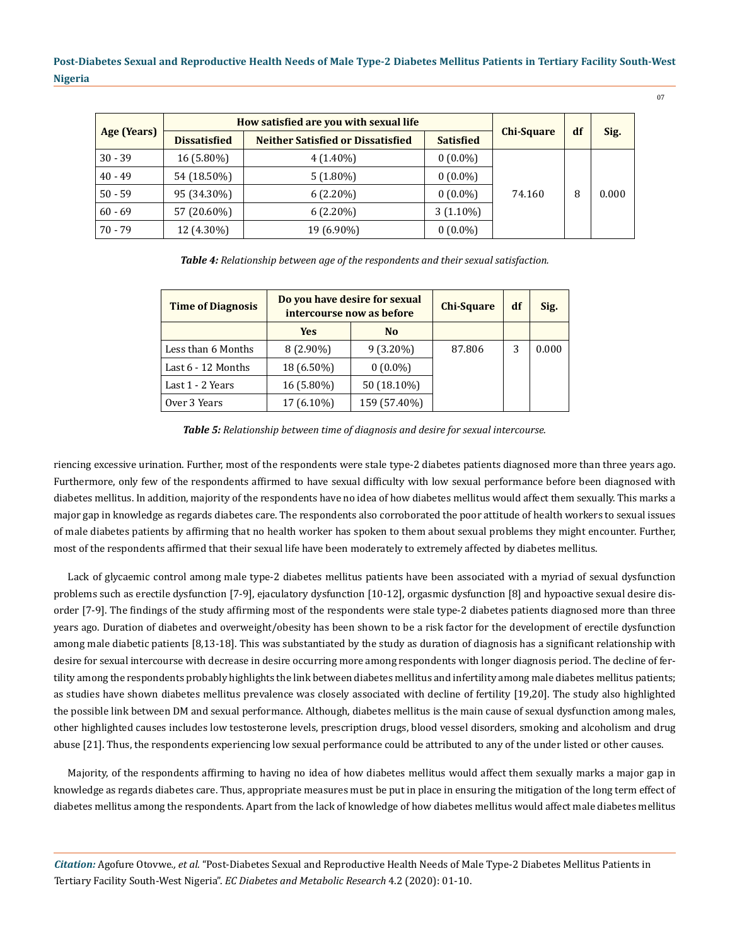|             | How satisfied are you with sexual life |                                          |                  |                   | df |       |
|-------------|----------------------------------------|------------------------------------------|------------------|-------------------|----|-------|
| Age (Years) | <b>Dissatisfied</b>                    | <b>Neither Satisfied or Dissatisfied</b> | <b>Satisfied</b> | <b>Chi-Square</b> |    | Sig.  |
| $30 - 39$   | 16 (5.80%)                             | $4(1.40\%)$                              | $0(0.0\%)$       |                   |    |       |
| $40 - 49$   | 54 (18.50%)                            | $5(1.80\%)$                              | $0(0.0\%)$       |                   | 8  | 0.000 |
| $50 - 59$   | 95 (34.30%)                            | $6(2.20\%)$                              | $0(0.0\%)$       | 74.160            |    |       |
| $60 - 69$   | 57 (20.60%)                            | $6(2.20\%)$                              | $3(1.10\%)$      |                   |    |       |
| $70 - 79$   | 12 (4.30%)                             | 19 (6.90%)                               | $0(0.0\%)$       |                   |    |       |

*Table 4: Relationship between age of the respondents and their sexual satisfaction.*

| <b>Time of Diagnosis</b> | Do you have desire for sexual<br>intercourse now as before |                | <b>Chi-Square</b> | df | Sig.  |
|--------------------------|------------------------------------------------------------|----------------|-------------------|----|-------|
|                          | <b>Yes</b>                                                 | N <sub>0</sub> |                   |    |       |
| Less than 6 Months       | $8(2.90\%)$                                                | $9(3.20\%)$    | 87.806            | 3  | 0.000 |
| Last $6 - 12$ Months     | 18 (6.50%)                                                 | $0(0.0\%)$     |                   |    |       |
| Last 1 - 2 Years         | 16 (5.80%)                                                 | 50 (18.10%)    |                   |    |       |
| Over 3 Years             | 17 (6.10%)                                                 | 159 (57.40%)   |                   |    |       |

*Table 5: Relationship between time of diagnosis and desire for sexual intercourse.*

riencing excessive urination. Further, most of the respondents were stale type-2 diabetes patients diagnosed more than three years ago. Furthermore, only few of the respondents affirmed to have sexual difficulty with low sexual performance before been diagnosed with diabetes mellitus. In addition, majority of the respondents have no idea of how diabetes mellitus would affect them sexually. This marks a major gap in knowledge as regards diabetes care. The respondents also corroborated the poor attitude of health workers to sexual issues of male diabetes patients by affirming that no health worker has spoken to them about sexual problems they might encounter. Further, most of the respondents affirmed that their sexual life have been moderately to extremely affected by diabetes mellitus.

Lack of glycaemic control among male type-2 diabetes mellitus patients have been associated with a myriad of sexual dysfunction problems such as erectile dysfunction [7-9], ejaculatory dysfunction [10-12], orgasmic dysfunction [8] and hypoactive sexual desire disorder [7-9]. The findings of the study affirming most of the respondents were stale type-2 diabetes patients diagnosed more than three years ago. Duration of diabetes and overweight/obesity has been shown to be a risk factor for the development of erectile dysfunction among male diabetic patients [8,13-18]. This was substantiated by the study as duration of diagnosis has a significant relationship with desire for sexual intercourse with decrease in desire occurring more among respondents with longer diagnosis period. The decline of fertility among the respondents probably highlights the link between diabetes mellitus and infertility among male diabetes mellitus patients; as studies have shown diabetes mellitus prevalence was closely associated with decline of fertility [19,20]. The study also highlighted the possible link between DM and sexual performance. Although, diabetes mellitus is the main cause of sexual dysfunction among males, other highlighted causes includes low testosterone levels, prescription drugs, blood vessel disorders, smoking and alcoholism and drug abuse [21]. Thus, the respondents experiencing low sexual performance could be attributed to any of the under listed or other causes.

Majority, of the respondents affirming to having no idea of how diabetes mellitus would affect them sexually marks a major gap in knowledge as regards diabetes care. Thus, appropriate measures must be put in place in ensuring the mitigation of the long term effect of diabetes mellitus among the respondents. Apart from the lack of knowledge of how diabetes mellitus would affect male diabetes mellitus

*Citation:* Agofure Otovwe*., et al.* "Post-Diabetes Sexual and Reproductive Health Needs of Male Type-2 Diabetes Mellitus Patients in Tertiary Facility South-West Nigeria". *EC Diabetes and Metabolic Research* 4.2 (2020): 01-10.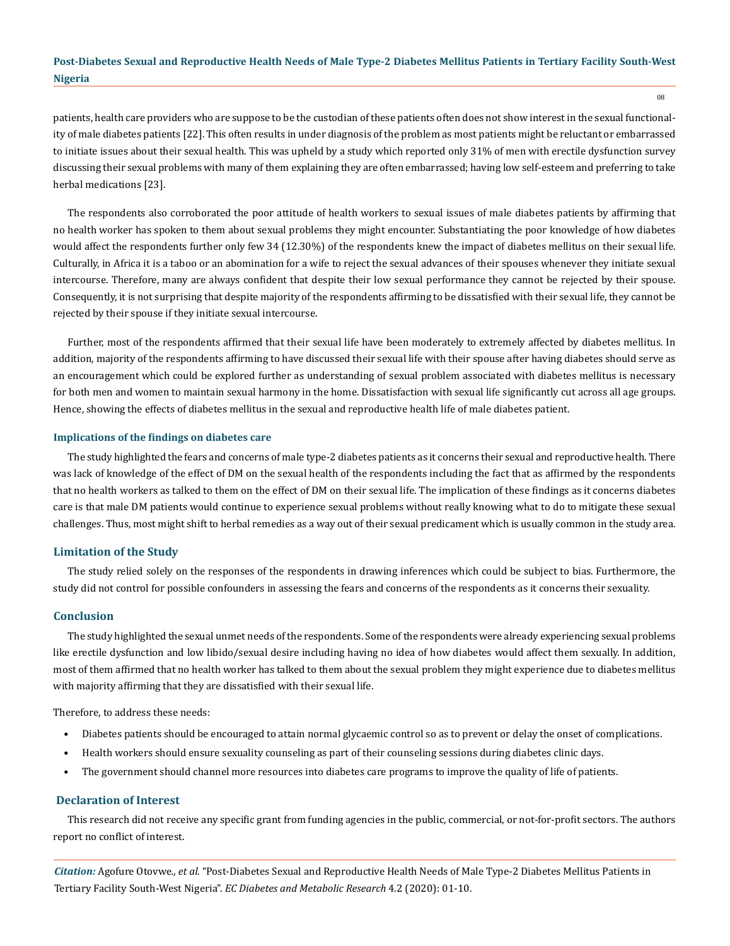patients, health care providers who are suppose to be the custodian of these patients often does not show interest in the sexual functionality of male diabetes patients [22]. This often results in under diagnosis of the problem as most patients might be reluctant or embarrassed to initiate issues about their sexual health. This was upheld by a study which reported only 31% of men with erectile dysfunction survey discussing their sexual problems with many of them explaining they are often embarrassed; having low self-esteem and preferring to take herbal medications [23].

The respondents also corroborated the poor attitude of health workers to sexual issues of male diabetes patients by affirming that no health worker has spoken to them about sexual problems they might encounter. Substantiating the poor knowledge of how diabetes would affect the respondents further only few 34 (12.30%) of the respondents knew the impact of diabetes mellitus on their sexual life. Culturally, in Africa it is a taboo or an abomination for a wife to reject the sexual advances of their spouses whenever they initiate sexual intercourse. Therefore, many are always confident that despite their low sexual performance they cannot be rejected by their spouse. Consequently, it is not surprising that despite majority of the respondents affirming to be dissatisfied with their sexual life, they cannot be rejected by their spouse if they initiate sexual intercourse.

Further, most of the respondents affirmed that their sexual life have been moderately to extremely affected by diabetes mellitus. In addition, majority of the respondents affirming to have discussed their sexual life with their spouse after having diabetes should serve as an encouragement which could be explored further as understanding of sexual problem associated with diabetes mellitus is necessary for both men and women to maintain sexual harmony in the home. Dissatisfaction with sexual life significantly cut across all age groups. Hence, showing the effects of diabetes mellitus in the sexual and reproductive health life of male diabetes patient.

#### **Implications of the findings on diabetes care**

The study highlighted the fears and concerns of male type-2 diabetes patients as it concerns their sexual and reproductive health. There was lack of knowledge of the effect of DM on the sexual health of the respondents including the fact that as affirmed by the respondents that no health workers as talked to them on the effect of DM on their sexual life. The implication of these findings as it concerns diabetes care is that male DM patients would continue to experience sexual problems without really knowing what to do to mitigate these sexual challenges. Thus, most might shift to herbal remedies as a way out of their sexual predicament which is usually common in the study area.

## **Limitation of the Study**

The study relied solely on the responses of the respondents in drawing inferences which could be subject to bias. Furthermore, the study did not control for possible confounders in assessing the fears and concerns of the respondents as it concerns their sexuality.

## **Conclusion**

The study highlighted the sexual unmet needs of the respondents. Some of the respondents were already experiencing sexual problems like erectile dysfunction and low libido/sexual desire including having no idea of how diabetes would affect them sexually. In addition, most of them affirmed that no health worker has talked to them about the sexual problem they might experience due to diabetes mellitus with majority affirming that they are dissatisfied with their sexual life.

Therefore, to address these needs:

- Diabetes patients should be encouraged to attain normal glycaemic control so as to prevent or delay the onset of complications.
- Health workers should ensure sexuality counseling as part of their counseling sessions during diabetes clinic days.
- The government should channel more resources into diabetes care programs to improve the quality of life of patients.

## **Declaration of Interest**

This research did not receive any specific grant from funding agencies in the public, commercial, or not-for-profit sectors. The authors report no conflict of interest.

*Citation:* Agofure Otovwe*., et al.* "Post-Diabetes Sexual and Reproductive Health Needs of Male Type-2 Diabetes Mellitus Patients in Tertiary Facility South-West Nigeria". *EC Diabetes and Metabolic Research* 4.2 (2020): 01-10.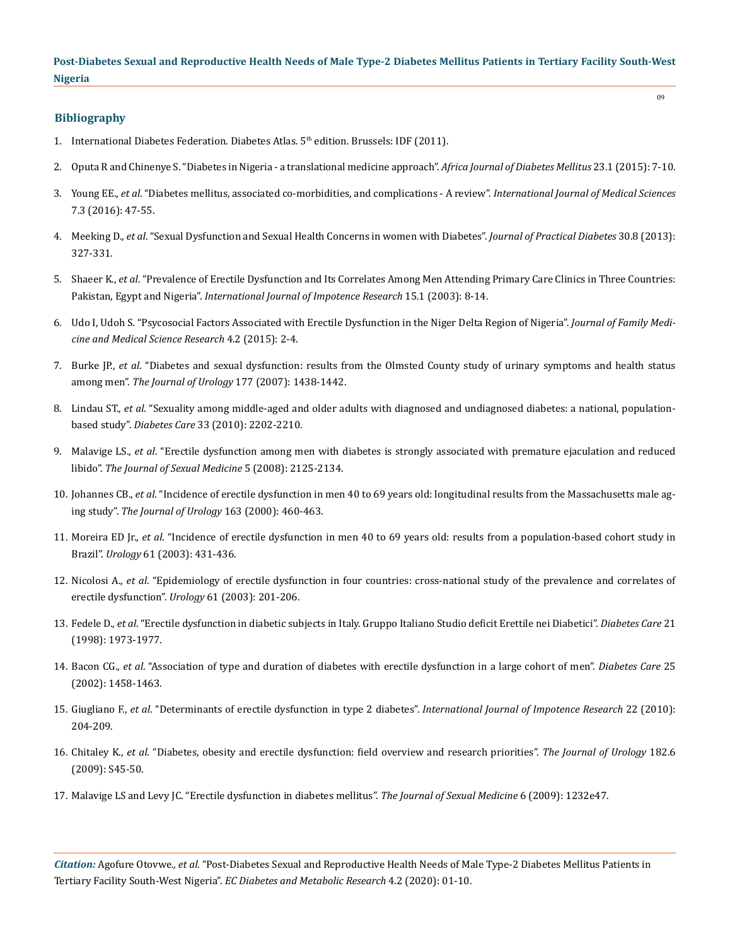## **Bibliography**

- 1. International Diabetes Federation. Diabetes Atlas.  $5<sup>th</sup>$  edition. Brussels: IDF (2011).
- 2. [Oputa R and Chinenye S. "Diabetes in Nigeria a translational medicine approach".](http://www.africanjournalofdiabetesmedicine.com/articles/may_2015/6.%20AJDM-496%20(Oputa).pdf) *Africa Journal of Diabetes Mellitus* 23.1 (2015): 7-10.
- 3. Young EE., *et al*[. "Diabetes mellitus, associated co-morbidities, and complications A review".](https://www.researchgate.net/publication/304462657_Diabetes_mellitus_associated_co-morbidities_and_complications_-A_review) *International Journal of Medical Sciences*  [7.3 \(2016\): 47-55.](https://www.researchgate.net/publication/304462657_Diabetes_mellitus_associated_co-morbidities_and_complications_-A_review)
- 4. Meeking D., *et al*[. "Sexual Dysfunction and Sexual Health Concerns in women with Diabetes".](https://care.diabetesjournals.org/content/25/4/672) *Journal of Practical Diabetes* 30.8 (2013): [327-331.](https://care.diabetesjournals.org/content/25/4/672)
- 5. Shaeer K., *et al*[. "Prevalence of Erectile Dysfunction and Its Correlates Among Men Attending Primary Care Clinics in Three Countries:](https://www.nature.com/articles/3900971) Pakistan, Egypt and Nigeria". *[International Journal of Impotence Research](https://www.nature.com/articles/3900971)* 15.1 (2003): 8-14.
- 6. [Udo I, Udoh S. "Psycosocial Factors Associated with Erectile Dysfunction in the Niger Delta Region of Nigeria".](https://www.longdom.org/open-access/psychosocial-factors-associated-with-erectile-dysfunction-in-the-nigerdelta-region-of-nigeria-2327-4972-1000162.pdf) *Journal of Family Medi[cine and Medical Science Research](https://www.longdom.org/open-access/psychosocial-factors-associated-with-erectile-dysfunction-in-the-nigerdelta-region-of-nigeria-2327-4972-1000162.pdf)* 4.2 (2015): 2-4.
- 7. Burke JP., *et al*[. "Diabetes and sexual dysfunction: results from the Olmsted County study of urinary symptoms and health status](https://www.ncbi.nlm.nih.gov/pubmed/17382749) among men". *[The Journal of Urology](https://www.ncbi.nlm.nih.gov/pubmed/17382749)* 177 (2007): 1438-1442.
- 8. Lindau ST., *et al*[. "Sexuality among middle-aged and older adults with diagnosed and undiagnosed diabetes: a national, population](https://www.ncbi.nlm.nih.gov/pubmed/20802158)based study". *Diabetes Care* [33 \(2010\): 2202-2210.](https://www.ncbi.nlm.nih.gov/pubmed/20802158)
- 9. Malavige LS., *et al*[. "Erectile dysfunction among men with diabetes is strongly associated with premature ejaculation and reduced](https://www.ncbi.nlm.nih.gov/pubmed/18624974) libido". *[The Journal of Sexual Medicine](https://www.ncbi.nlm.nih.gov/pubmed/18624974)* 5 (2008): 2125-2134.
- 10. Johannes CB., *et al*[. "Incidence of erectile dysfunction in men 40 to 69 years old: longitudinal results from the Massachusetts male ag](https://www.ncbi.nlm.nih.gov/pubmed/10647654)ing study". *[The Journal of Urology](https://www.ncbi.nlm.nih.gov/pubmed/10647654)* 163 (2000): 460-463.
- 11. Moreira ED Jr., *et al*[. "Incidence of erectile dysfunction in men 40 to 69 years old: results from a population-based cohort study in](https://www.sciencedirect.com/science/article/pii/S0090429502021581) Brazil". *Urology* [61 \(2003\): 431-436.](https://www.sciencedirect.com/science/article/pii/S0090429502021581)
- 12. Nicolosi A., *et al*[. "Epidemiology of erectile dysfunction in four countries: cross-national study of the prevalence and correlates of](https://www.ncbi.nlm.nih.gov/pubmed/12559296) [erectile dysfunction".](https://www.ncbi.nlm.nih.gov/pubmed/12559296) *Urology* 61 (2003): 201-206.
- 13. Fedele D., *et al*[. "Erectile dysfunction in diabetic subjects in Italy. Gruppo Italiano Studio deficit Erettile nei Diabetici".](https://care.diabetesjournals.org/content/21/11/1973) *Diabetes Care* 21 [\(1998\): 1973-1977.](https://care.diabetesjournals.org/content/21/11/1973)
- 14. Bacon CG., *et al*[. "Association of type and duration of diabetes with erectile dysfunction in a large cohort of men".](https://care.diabetesjournals.org/content/25/8/1458) *Diabetes Care* 25 [\(2002\): 1458-1463.](https://care.diabetesjournals.org/content/25/8/1458)
- 15. Giugliano F., *et al*[. "Determinants of erectile dysfunction in type 2 diabetes".](https://www.ncbi.nlm.nih.gov/pubmed/20147958) *International Journal of Impotence Research* 22 (2010): [204-209.](https://www.ncbi.nlm.nih.gov/pubmed/20147958)
- 16. Chitaley K., *et al*[. "Diabetes, obesity and erectile dysfunction: field overview and research priorities".](https://www.ncbi.nlm.nih.gov/pmc/articles/PMC2864637/) *The Journal of Urology* 182.6 [\(2009\): S45-50.](https://www.ncbi.nlm.nih.gov/pmc/articles/PMC2864637/)
- 17. [Malavige LS and Levy JC. "Erectile dysfunction in diabetes mellitus".](https://www.ncbi.nlm.nih.gov/pubmed/19210706) *The Journal of Sexual Medicine* 6 (2009): 1232e47.

*Citation:* Agofure Otovwe*., et al.* "Post-Diabetes Sexual and Reproductive Health Needs of Male Type-2 Diabetes Mellitus Patients in Tertiary Facility South-West Nigeria". *EC Diabetes and Metabolic Research* 4.2 (2020): 01-10.